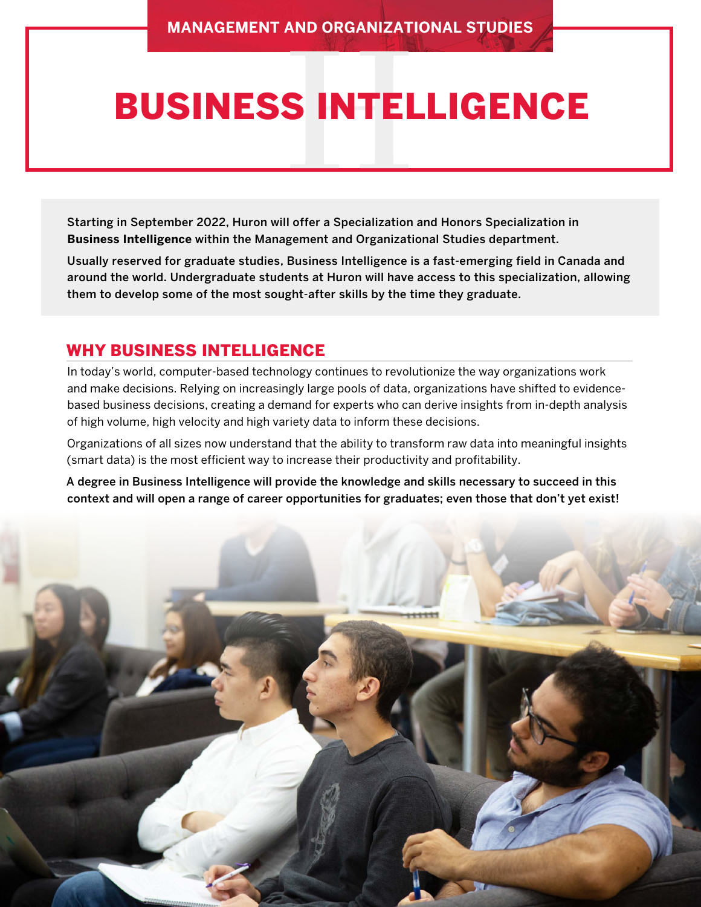# BUSINESS INTELLIGENCE

Starting in September 2022, Huron will offer a Specialization and Honors Specialization in **Business Intelligence** within the Management and Organizational Studies department.

Usually reserved for graduate studies, Business Intelligence is a fast-emerging field in Canada and around the world. Undergraduate students at Huron will have access to this specialization, allowing them to develop some of the most sought-after skills by the time they graduate.

#### WHY BUSINESS INTELLIGENCE

In today's world, computer-based technology continues to revolutionize the way organizations work and make decisions. Relying on increasingly large pools of data, organizations have shifted to evidencebased business decisions, creating a demand for experts who can derive insights from in-depth analysis of high volume, high velocity and high variety data to inform these decisions.

Organizations of all sizes now understand that the ability to transform raw data into meaningful insights (smart data) is the most efficient way to increase their productivity and profitability.

A degree in Business Intelligence will provide the knowledge and skills necessary to succeed in this context and will open a range of career opportunities for graduates; even those that don't yet exist!